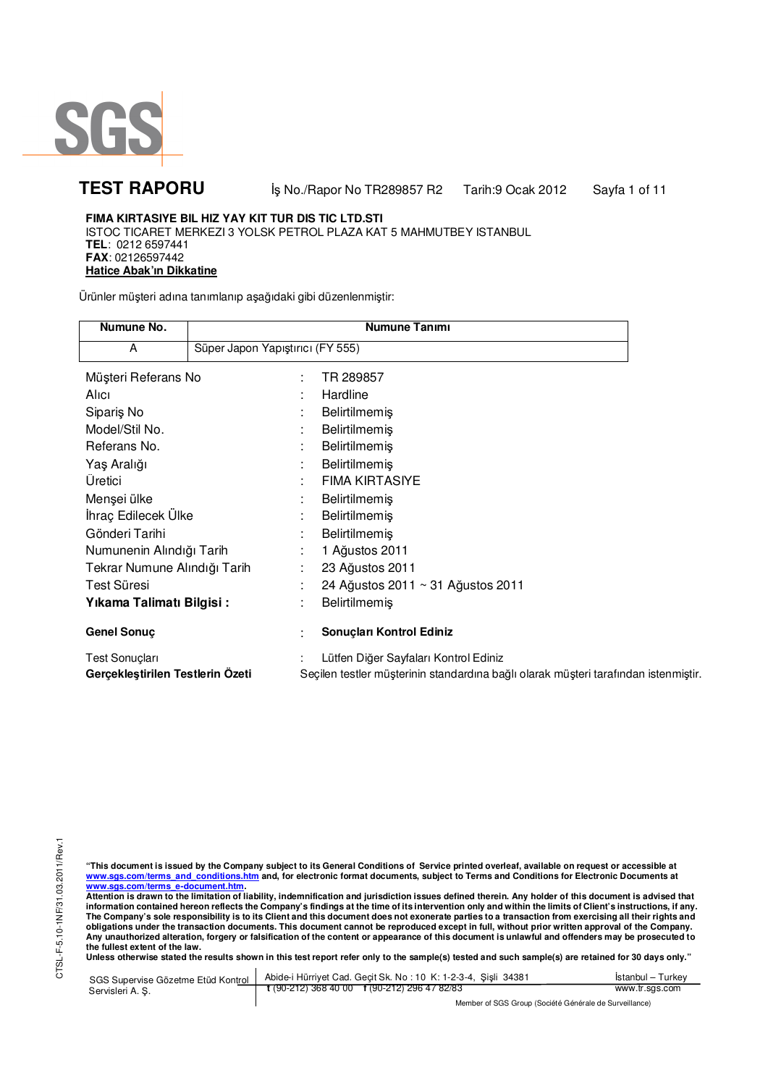

**TEST RAPORU** iş No./Rapor No TR289857 R2 Tarih:9 Ocak 2012 Sayfa 1 of 11

### **FIMA KIRTASIYE BIL HIZ YAY KIT TUR DIS TIC LTD.STI** ISTOC TICARET MERKEZI 3 YOLSK PETROL PLAZA KAT 5 MAHMUTBEY ISTANBUL **TEL**: 0212 6597441 **FAX**: 02126597442 **Hatice Abak'ın Dikkatine**

Ürünler müşteri adına tanımlanıp aşağıdaki gibi düzenlenmiştir:

| Numune No.                       |                                  |   | Numune Tanımı                                                                       |
|----------------------------------|----------------------------------|---|-------------------------------------------------------------------------------------|
| A                                | Süper Japon Yapıştırıcı (FY 555) |   |                                                                                     |
| Müşteri Referans No              |                                  | ٠ | TR 289857                                                                           |
| Alici                            |                                  |   | Hardline                                                                            |
| Sipariş No                       |                                  |   | Belirtilmemiş                                                                       |
| Model/Stil No.                   |                                  |   | Belirtilmemiş                                                                       |
| Referans No.                     |                                  |   | Belirtilmemiş                                                                       |
| Yaş Aralığı                      |                                  |   | Belirtilmemiş                                                                       |
| Üretici                          |                                  |   | <b>FIMA KIRTASIYE</b>                                                               |
| Menşei ülke                      |                                  |   | <b>Belirtilmemiş</b>                                                                |
| İhraç Edilecek Ülke              |                                  |   | Belirtilmemiş                                                                       |
| Gönderi Tarihi                   |                                  |   | <b>Belirtilmemiş</b>                                                                |
| Numunenin Alındığı Tarih         |                                  |   | 1 Ağustos 2011                                                                      |
| Tekrar Numune Alındığı Tarih     |                                  |   | 23 Ağustos 2011                                                                     |
| Test Süresi                      |                                  |   | 24 Ağustos 2011 ~ 31 Ağustos 2011                                                   |
| Yıkama Talimatı Bilgisi:         |                                  |   | Belirtilmemiş                                                                       |
| Genel Sonuç                      |                                  |   | Sonuçları Kontrol Ediniz                                                            |
| Test Sonuçları                   |                                  |   | Lütfen Diğer Sayfaları Kontrol Ediniz                                               |
| Gerçekleştirilen Testlerin Ozeti |                                  |   | Seçilen testler müşterinin standardına bağlı olarak müşteri tarafından istenmiştir. |

"This document is issued by the Company subject to its General Conditions of Service printed overleaf, available on request or accessible at<br>www.sgs.com/terms\_and\_conditions.htm\_and, for electronic format documents, subjec

<mark>www.sgs.com/terms\_e-document.htm.</mark><br>Attention is drawn to the limitation of liability, indemnification and jurisdiction issues defined therein. Any holder of this document is advised that information contained hereon reflects the Company's findings at the time of its intervention only and within the limits of Client's instructions, if any.<br>The Company's sole responsibility is to its Client and this document obligations under the transaction documents. This document cannot be reproduced except in full, without prior written approval of the Company.<br>Any unauthorized alteration, forgery or falsification of the content or appeara

Unless otherwise stated the results shown in this test report refer only to the sample(s) tested and such sample(s) are retained for 30 days only."

| SGS Supervise Gözetme Etüd Kontrol | Abide-i Hürriyet Cad. Gecit Sk. No: 10 K: 1-2-3-4, Sisli 34381 | Istanbul – Turkev |
|------------------------------------|----------------------------------------------------------------|-------------------|
| Servisleri A. S.                   | $\frac{1}{2}$ (90-212) 368 40 00 f (90-212) 296 47 82/83       | www.tr.sgs.com    |
|                                    | Member of SGS Group (Société Générale de Surveillance)         |                   |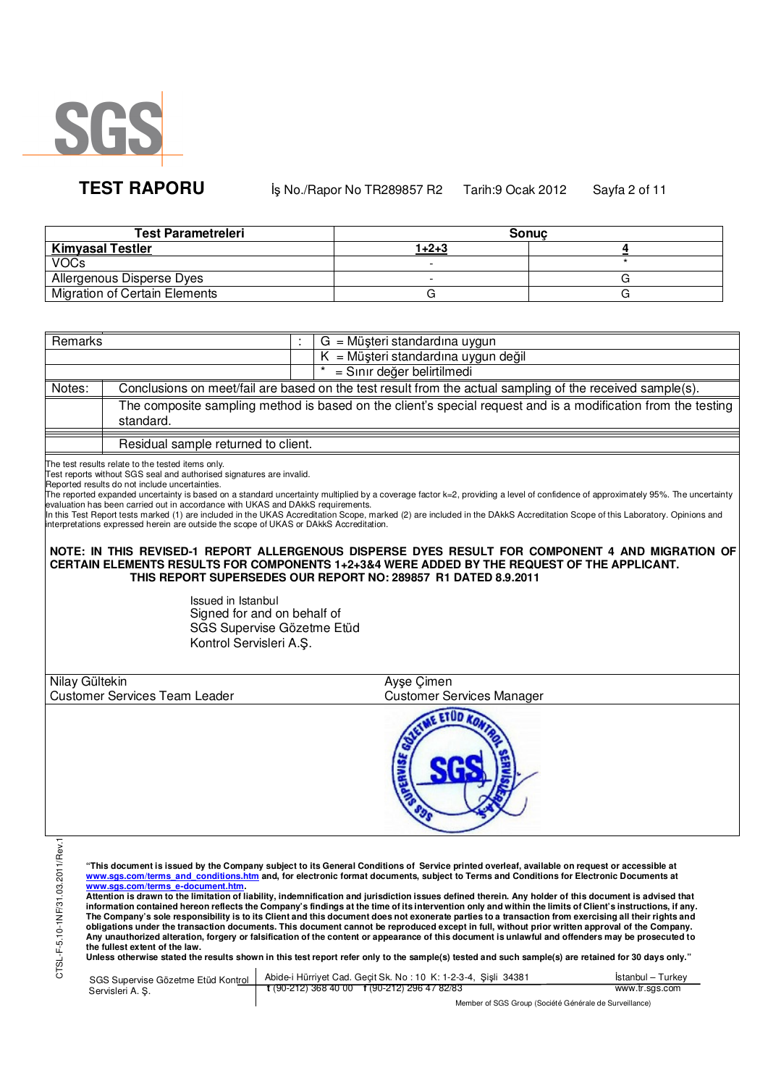

**TEST RAPORU** iş No./Rapor No TR289857 R2 Tarih:9 Ocak 2012 Sayfa 2 of 11

| <b>Test Parametreleri</b>            |       | <b>Sonuc</b> |
|--------------------------------------|-------|--------------|
| <b>Kimyasal Testler</b>              | 1+2+3 |              |
| <b>VOCs</b>                          |       |              |
| Allergenous Disperse Dyes            |       |              |
| <b>Migration of Certain Elements</b> |       |              |

| Remarks                          |                                                                                                                                                                                                                                                                                                                                                                                                               | $G = M\ddot{\mu}$ şteri standardına uygun                                                                                                                                                                                                                                                                                                                                                                                                                                                                                                                                                                                                                                                                                                                                                                                                                                                                                                                                                                                                                                                                                                                                                                                                                                                                                                   |                   |
|----------------------------------|---------------------------------------------------------------------------------------------------------------------------------------------------------------------------------------------------------------------------------------------------------------------------------------------------------------------------------------------------------------------------------------------------------------|---------------------------------------------------------------------------------------------------------------------------------------------------------------------------------------------------------------------------------------------------------------------------------------------------------------------------------------------------------------------------------------------------------------------------------------------------------------------------------------------------------------------------------------------------------------------------------------------------------------------------------------------------------------------------------------------------------------------------------------------------------------------------------------------------------------------------------------------------------------------------------------------------------------------------------------------------------------------------------------------------------------------------------------------------------------------------------------------------------------------------------------------------------------------------------------------------------------------------------------------------------------------------------------------------------------------------------------------|-------------------|
|                                  |                                                                                                                                                                                                                                                                                                                                                                                                               | $K = M\ddot{\mu}$ şteri standardına uygun değil                                                                                                                                                                                                                                                                                                                                                                                                                                                                                                                                                                                                                                                                                                                                                                                                                                                                                                                                                                                                                                                                                                                                                                                                                                                                                             |                   |
|                                  |                                                                                                                                                                                                                                                                                                                                                                                                               | = Sınır değer belirtilmedi                                                                                                                                                                                                                                                                                                                                                                                                                                                                                                                                                                                                                                                                                                                                                                                                                                                                                                                                                                                                                                                                                                                                                                                                                                                                                                                  |                   |
| Notes:                           |                                                                                                                                                                                                                                                                                                                                                                                                               | Conclusions on meet/fail are based on the test result from the actual sampling of the received sample(s).                                                                                                                                                                                                                                                                                                                                                                                                                                                                                                                                                                                                                                                                                                                                                                                                                                                                                                                                                                                                                                                                                                                                                                                                                                   |                   |
|                                  | The composite sampling method is based on the client's special request and is a modification from the testing                                                                                                                                                                                                                                                                                                 |                                                                                                                                                                                                                                                                                                                                                                                                                                                                                                                                                                                                                                                                                                                                                                                                                                                                                                                                                                                                                                                                                                                                                                                                                                                                                                                                             |                   |
|                                  | standard.                                                                                                                                                                                                                                                                                                                                                                                                     |                                                                                                                                                                                                                                                                                                                                                                                                                                                                                                                                                                                                                                                                                                                                                                                                                                                                                                                                                                                                                                                                                                                                                                                                                                                                                                                                             |                   |
|                                  | Residual sample returned to client.                                                                                                                                                                                                                                                                                                                                                                           |                                                                                                                                                                                                                                                                                                                                                                                                                                                                                                                                                                                                                                                                                                                                                                                                                                                                                                                                                                                                                                                                                                                                                                                                                                                                                                                                             |                   |
|                                  |                                                                                                                                                                                                                                                                                                                                                                                                               |                                                                                                                                                                                                                                                                                                                                                                                                                                                                                                                                                                                                                                                                                                                                                                                                                                                                                                                                                                                                                                                                                                                                                                                                                                                                                                                                             |                   |
|                                  | The test results relate to the tested items only.<br>Test reports without SGS seal and authorised signatures are invalid.<br>Reported results do not include uncertainties.<br>evaluation has been carried out in accordance with UKAS and DAkkS requirements.<br>interpretations expressed herein are outside the scope of UKAS or DAkkS Accreditation.<br>Issued in Istanbul<br>Signed for and on behalf of | The reported expanded uncertainty is based on a standard uncertainty multiplied by a coverage factor k=2, providing a level of confidence of approximately 95%. The uncertainty<br>In this Test Report tests marked (1) are included in the UKAS Accreditation Scope, marked (2) are included in the DAkkS Accreditation Scope of this Laboratory. Opinions and<br>NOTE: IN THIS REVISED-1 REPORT ALLERGENOUS DISPERSE DYES RESULT FOR COMPONENT 4 AND MIGRATION OF<br>CERTAIN ELEMENTS RESULTS FOR COMPONENTS 1+2+3&4 WERE ADDED BY THE REQUEST OF THE APPLICANT.<br>THIS REPORT SUPERSEDES OUR REPORT NO: 289857 R1 DATED 8.9.2011                                                                                                                                                                                                                                                                                                                                                                                                                                                                                                                                                                                                                                                                                                        |                   |
|                                  | SGS Supervise Gözetme Etüd                                                                                                                                                                                                                                                                                                                                                                                    |                                                                                                                                                                                                                                                                                                                                                                                                                                                                                                                                                                                                                                                                                                                                                                                                                                                                                                                                                                                                                                                                                                                                                                                                                                                                                                                                             |                   |
|                                  | Kontrol Servisleri A.Ş.                                                                                                                                                                                                                                                                                                                                                                                       |                                                                                                                                                                                                                                                                                                                                                                                                                                                                                                                                                                                                                                                                                                                                                                                                                                                                                                                                                                                                                                                                                                                                                                                                                                                                                                                                             |                   |
|                                  |                                                                                                                                                                                                                                                                                                                                                                                                               |                                                                                                                                                                                                                                                                                                                                                                                                                                                                                                                                                                                                                                                                                                                                                                                                                                                                                                                                                                                                                                                                                                                                                                                                                                                                                                                                             |                   |
| Nilay Gültekin                   |                                                                                                                                                                                                                                                                                                                                                                                                               | Ayse Cimen                                                                                                                                                                                                                                                                                                                                                                                                                                                                                                                                                                                                                                                                                                                                                                                                                                                                                                                                                                                                                                                                                                                                                                                                                                                                                                                                  |                   |
|                                  | <b>Customer Services Team Leader</b>                                                                                                                                                                                                                                                                                                                                                                          | <b>Customer Services Manager</b>                                                                                                                                                                                                                                                                                                                                                                                                                                                                                                                                                                                                                                                                                                                                                                                                                                                                                                                                                                                                                                                                                                                                                                                                                                                                                                            |                   |
|                                  |                                                                                                                                                                                                                                                                                                                                                                                                               | <b>VIE ETUD</b>                                                                                                                                                                                                                                                                                                                                                                                                                                                                                                                                                                                                                                                                                                                                                                                                                                                                                                                                                                                                                                                                                                                                                                                                                                                                                                                             |                   |
| CTSL-F-5.10-1NF/31.03.2011/Rev.1 | www.sas.com/terms e-document.htm.<br>the fullest extent of the law.                                                                                                                                                                                                                                                                                                                                           | "This document is issued by the Company subject to its General Conditions of Service printed overleaf, available on request or accessible at<br>www.sgs.com/terms and conditions.htm and, for electronic format documents, subject to Terms and Conditions for Electronic Documents at<br>Attention is drawn to the limitation of liability, indemnification and jurisdiction issues defined therein. Any holder of this document is advised that<br>information contained hereon reflects the Company's findings at the time of its intervention only and within the limits of Client's instructions, if any.<br>The Company's sole responsibility is to its Client and this document does not exonerate parties to a transaction from exercising all their rights and<br>obligations under the transaction documents. This document cannot be reproduced except in full, without prior written approval of the Company.<br>Any unauthorized alteration, forgery or falsification of the content or appearance of this document is unlawful and offenders may be prosecuted to<br>Unless otherwise stated the results shown in this test report refer only to the sample(s) tested and such sample(s) are retained for 30 days only."<br>SGS Sunervise Gözetme Etüd Kontrol Abide-i Hürriyet Cad. Gecit Sk. No: 10 K: 1-2-3-4, Sisli 34381 | Istanbul - Turkey |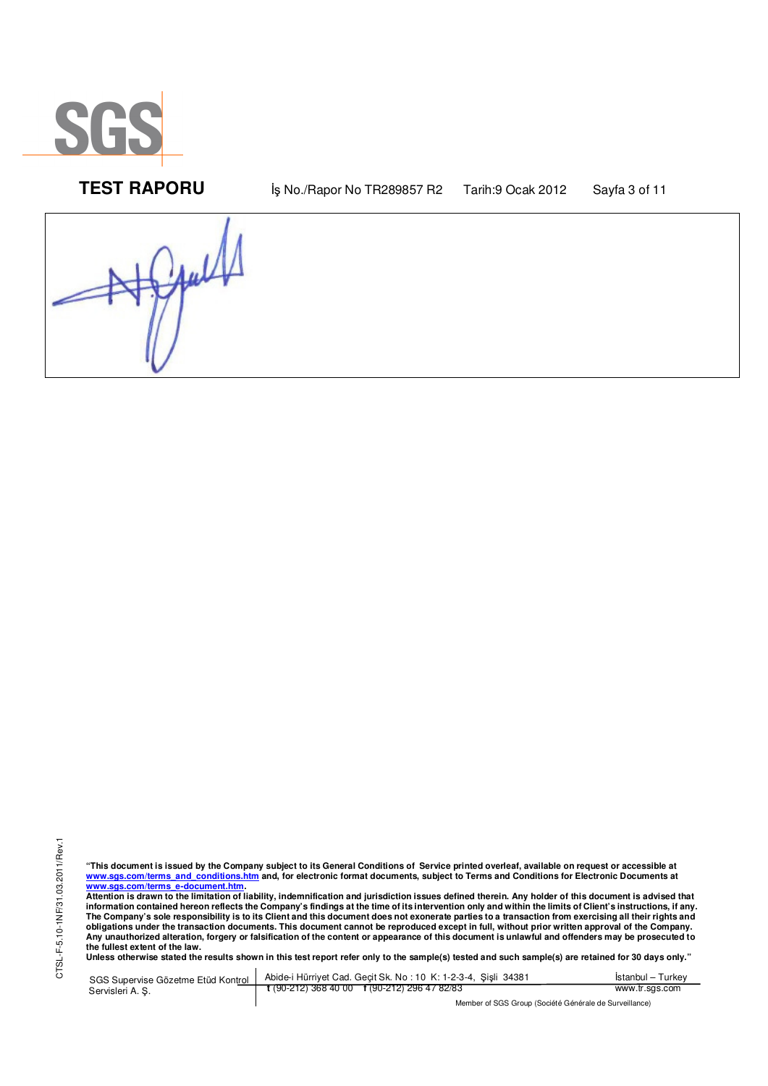

**TEST RAPORU** iş No./Rapor No TR289857 R2 Tarih:9 Ocak 2012 Sayfa 3 of 11

Jaul

"This document is issued by the Company subject to its General Conditions of Service printed overleaf, available on request or accessible at<br>www.sgs.com/terms\_and\_conditions.htm\_and, for electronic format documents, subjec <mark>www.sgs.com/terms\_e-document.htm.</mark><br>Attention is drawn to the limitation of liability, indemnification and jurisdiction issues defined therein. Any holder of this document is advised that

information contained hereon reflects the Company's findings at the time of its intervention only and within the limits of Client's instructions, if any.<br>The Company's sole responsibility is to its Client and this document obligations under the transaction documents. This document cannot be reproduced except in full, without prior written approval of the Company.<br>Any unauthorized alteration, forgery or falsification of the content or appeara

**Unless otherwise stated the results shown in this test report refer only to the sample(s) tested and such sample(s) are retained for 30 days only."** 

SGS Supervise Gözetme Etüd Kontrol Servisleri A. Ş. Abide-i Hürriyet Cad. Geçit Sk. No : 10 K: 1-2-3-4, Şişli 34381 **t** (90-212) 368 40 00 **f** (90-212) 296 47 82/83 İstanbul – Turkey www.tr.sgs.com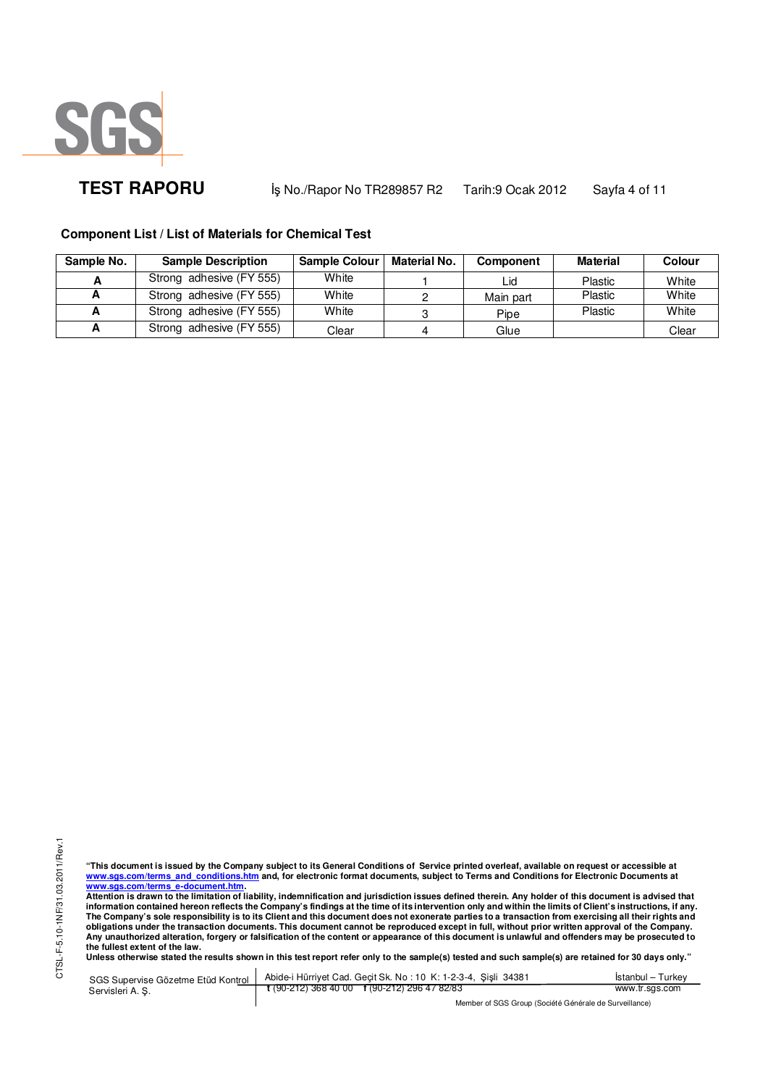

**TEST RAPORU** iş No./Rapor No TR289857 R2 Tarih:9 Ocak 2012 Sayfa 4 of 11

**Component List / List of Materials for Chemical Test**

| Sample No. | <b>Sample Description</b> | <b>Sample Colour</b> | <b>Material No.</b> | <b>Component</b> | <b>Material</b> | Colour |
|------------|---------------------------|----------------------|---------------------|------------------|-----------------|--------|
|            | Strong adhesive (FY 555)  | White                |                     | ∟id              | <b>Plastic</b>  | White  |
| A          | Strong adhesive (FY 555)  | White                |                     | Main part        | Plastic         | White  |
|            | Strong adhesive (FY 555)  | White                |                     | Pipe             | Plastic         | White  |
|            | Strong adhesive (FY 555)  | Clear                |                     | Glue             |                 | Clear  |

"This document is issued by the Company subject to its General Conditions of Service printed overleaf, available on request or accessible at<br>www.sgs.com/terms\_and\_conditions.htm\_and, for electronic format documents, subjec <mark>www.sgs.com/terms\_e-document.htm.</mark><br>Attention is drawn to the limitation of liability, indemnification and jurisdiction issues defined therein. Any holder of this document is advised that

information contained hereon reflects the Company's findings at the time of its intervention only and within the limits of Client's instructions, if any.<br>The Company's sole responsibility is to its Client and this document **obligations under the transaction documents. This document cannot be reproduced except in full, without prior written approval of the Company.**  Any unauthorized alteration, forgery or falsification of the content or appearance of this document is unlawful and offenders may be prosecuted to<br>the fullest extent of the law.<br>Unless otherwise stated the results shown in

SGS Supervise Gözetme Etüd Kontrol Servisleri A. Ş. Abide-i Hürriyet Cad. Geçit Sk. No : 10 K: 1-2-3-4, Şişli 34381 **t** (90-212) 368 40 00 **f** (90-212) 296 47 82/83 İstanbul – Turkey www.tr.sgs.com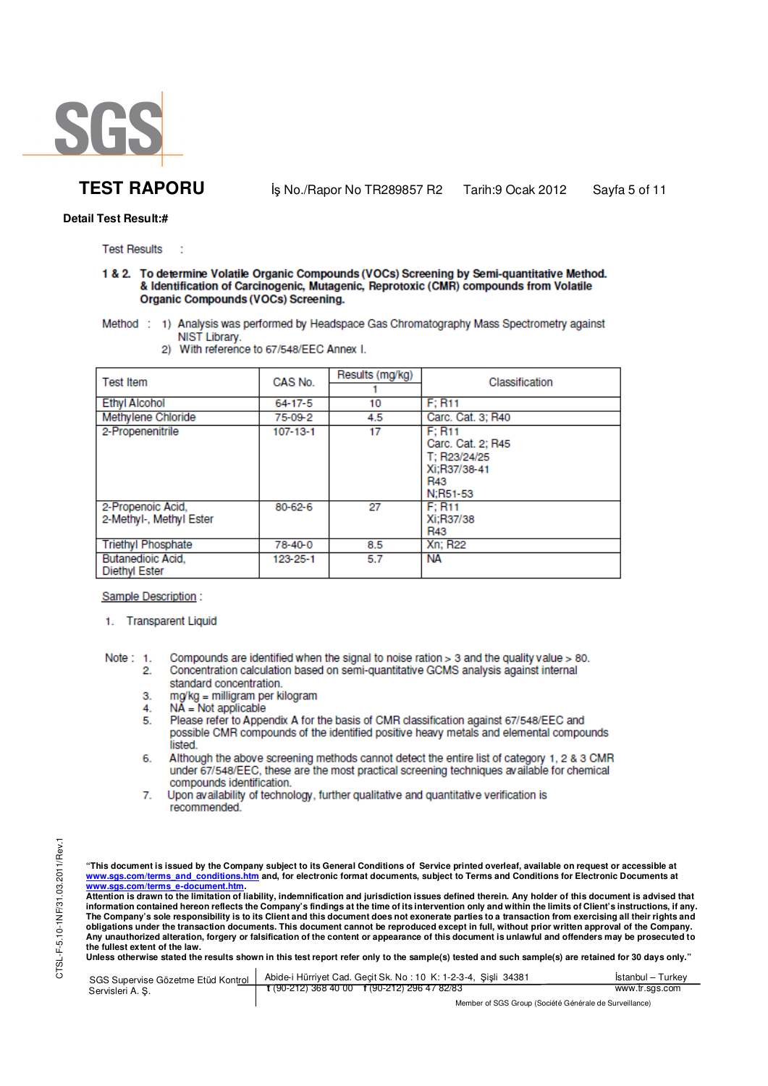

**Detail Test Result:#**

**Test Results** 

### 1 & 2. To determine Volatile Organic Compounds (VOCs) Screening by Semi-quantitative Method. & Identification of Carcinogenic, Mutagenic, Reprotoxic (CMR) compounds from Volatile **Organic Compounds (VOCs) Screening.**

- Method : 1) Analysis was performed by Headspace Gas Chromatography Mass Spectrometry against NIST Library.
	- 2) With reference to 67/548/EEC Annex I.

| <b>Test Item</b>                                 | CAS No.        | Results (mg/kg) | Classification                                                                        |
|--------------------------------------------------|----------------|-----------------|---------------------------------------------------------------------------------------|
| <b>Ethvl Alcohol</b>                             | $64 - 17 - 5$  | 10              | F: R11                                                                                |
| Methylene Chloride                               | 75-09-2        | 4.5             | Carc. Cat. 3; R40                                                                     |
| 2-Propenenitrile                                 | $107 - 13 - 1$ | 17              | F: R11<br>Carc. Cat. 2; R45<br>T: R23/24/25<br>Xi:R37/38-41<br><b>R43</b><br>N:R51-53 |
| 2-Propenoic Acid,<br>2-Methyl-, Methyl Ester     | $80 - 62 - 6$  | 27              | F: R11<br>Xi:R37/38<br>R43                                                            |
| <b>Triethyl Phosphate</b>                        | 78-40-0        | 8.5             | <b>Xn: R22</b>                                                                        |
| <b>Butanedioic Acid.</b><br><b>Diethyl Ester</b> | 123-25-1       | 5.7             | NА                                                                                    |

### Sample Description:

1. Transparent Liquid

Compounds are identified when the signal to noise ration > 3 and the quality value > 80. Note:  $1$ . Concentration calculation based on semi-quantitative GCMS analysis against internal  $\overline{2}$ standard concentration.

- 3. mg/kg = milligram per kilogram
- $NA = Not applicable$ 4.
- 
- Please refer to Appendix A for the basis of CMR classification against 67/548/EEC and 5. possible CMR compounds of the identified positive heavy metals and elemental compounds listed
- Although the above screening methods cannot detect the entire list of category 1, 2 & 3 CMR 6. under 67/548/EEC, these are the most practical screening techniques available for chemical compounds identification.
- Upon availability of technology, further qualitative and quantitative verification is 7. recommended.

"This document is issued by the Company subject to its General Conditions of Service printed overleaf, available on request or accessible at<br>www.sgs.com/terms\_and\_conditions.htm\_and, for electronic format documents, subjec

<mark>www.sgs.com/terms\_e-document.htm.</mark><br>Attention is drawn to the limitation of liability, indemnification and jurisdiction issues defined therein. Any holder of this document is advised that information contained hereon reflects the Company's findings at the time of its intervention only and within the limits of Client's instructions, if any.<br>The Company's sole responsibility is to its Client and this document **obligations under the transaction documents. This document cannot be reproduced except in full, without prior written approval of the Company. Any unauthorized alteration, forgery or falsification of the content or appearance of this document is unlawful and offenders may be prosecuted to the fullest extent of the law.** 

Unless otherwise stated the results shown in this test report refer only to the sample(s) tested and such sample(s) are retained for 30 days only."

| SGS Supervise Gözetme Etüd Kontrol | Abide-i Hürriyet Cad. Gecit Sk. No: 10 K: 1-2-3-4, Sisli 34381 | İstanbul – Turkev |
|------------------------------------|----------------------------------------------------------------|-------------------|
| Servisleri A.S.                    | $\frac{1}{2}$ (90-212) 368 40 00 f (90-212) 296 47 82/83       | www.tr.sgs.com    |
|                                    | Mandezza (COC Craine (Capital Chatrola de Cumpillanas)         |                   |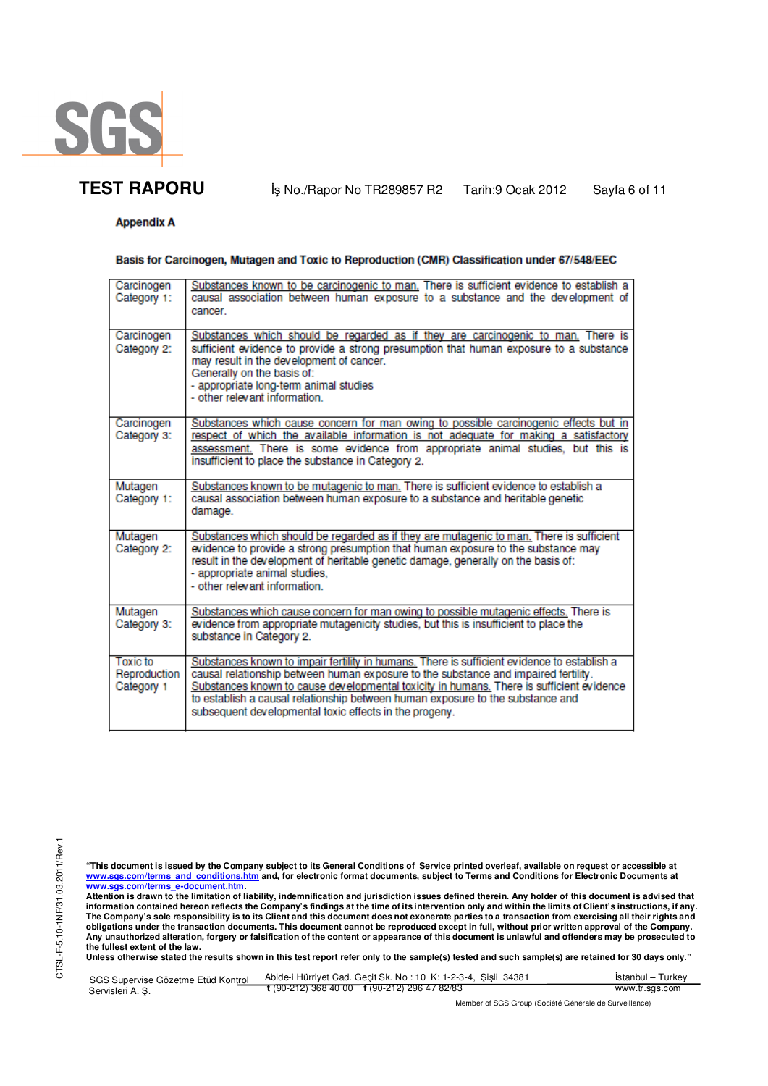

**TEST RAPORU** iş No./Rapor No TR289857 R2 Tarih:9 Ocak 2012 Sayfa 6 of 11

## **Appendix A**

### Basis for Carcinogen, Mutagen and Toxic to Reproduction (CMR) Classification under 67/548/EEC

| Carcinogen               | Substances known to be carcinogenic to man. There is sufficient evidence to establish a                                                                                         |
|--------------------------|---------------------------------------------------------------------------------------------------------------------------------------------------------------------------------|
| Category 1:              | causal association between human exposure to a substance and the development of<br>cancer.                                                                                      |
| Carcinogen               | Substances which should be regarded as if they are carcinogenic to man. There is                                                                                                |
| Category 2:              | sufficient evidence to provide a strong presumption that human exposure to a substance<br>may result in the development of cancer.                                              |
|                          | Generally on the basis of:                                                                                                                                                      |
|                          | - appropriate long-term animal studies<br>- other relevant information.                                                                                                         |
| Carcinogen               | Substances which cause concern for man owing to possible carcinogenic effects but in                                                                                            |
| Category 3:              | respect of which the available information is not adequate for making a satisfactory<br>assessment. There is some evidence from appropriate animal studies, but this is         |
|                          | insufficient to place the substance in Category 2.                                                                                                                              |
| Mutagen                  | Substances known to be mutagenic to man. There is sufficient evidence to establish a                                                                                            |
| Category 1:              | causal association between human exposure to a substance and heritable genetic<br>damage.                                                                                       |
| Mutagen<br>Category 2:   | Substances which should be regarded as if they are mutagenic to man. There is sufficient<br>evidence to provide a strong presumption that human exposure to the substance may   |
|                          | result in the development of heritable genetic damage, generally on the basis of:                                                                                               |
|                          | - appropriate animal studies.<br>- other relevant information.                                                                                                                  |
|                          |                                                                                                                                                                                 |
| Mutagen<br>Category 3:   | Substances which cause concern for man owing to possible mutagenic effects. There is<br>evidence from appropriate mutagenicity studies, but this is insufficient to place the   |
|                          | substance in Category 2.                                                                                                                                                        |
| Toxic to<br>Reproduction | Substances known to impair fertility in humans. There is sufficient evidence to establish a                                                                                     |
| Category 1               | causal relationship between human exposure to the substance and impaired fertility.<br>Substances known to cause developmental toxicity in humans. There is sufficient evidence |
|                          | to establish a causal relationship between human exposure to the substance and                                                                                                  |
|                          | subsequent developmental toxic effects in the progeny.                                                                                                                          |

"This document is issued by the Company subject to its General Conditions of Service printed overleaf, available on request or accessible at<br>www.sgs.com/terms\_and\_conditions.htm\_and, for electronic format documents, subjec

<u>www.sgs.com/terms\_e-document.htm.</u><br>Attention is drawn to the limitation of liability, indemnification and jurisdiction issues defined therein. Any holder of this document is advised that<br>information contained hereon refle obligations under the transaction documents. This document cannot be reproduced except in full, without prior written approval of the Company.<br>Any unauthorized alteration, forgery or falsification of the content or appeara

**Unless otherwise stated the results shown in this test report refer only to the sample(s) tested and such sample(s) are retained for 30 days only."** 

| SGS Supervise Gözetme Etüd Kontrol | Abide-i Hürriyet Cad. Gecit Sk. No: 10 K: 1-2-3-4, Sisli 34381 | Istanbul - Turkey |
|------------------------------------|----------------------------------------------------------------|-------------------|
| Servisleri A.S.                    | $t(90-212)3684000$ $t(90-212)2964782/83$                       | www.tr.sgs.com    |
|                                    | Member of SGS Group (Société Générale de Surveillance)         |                   |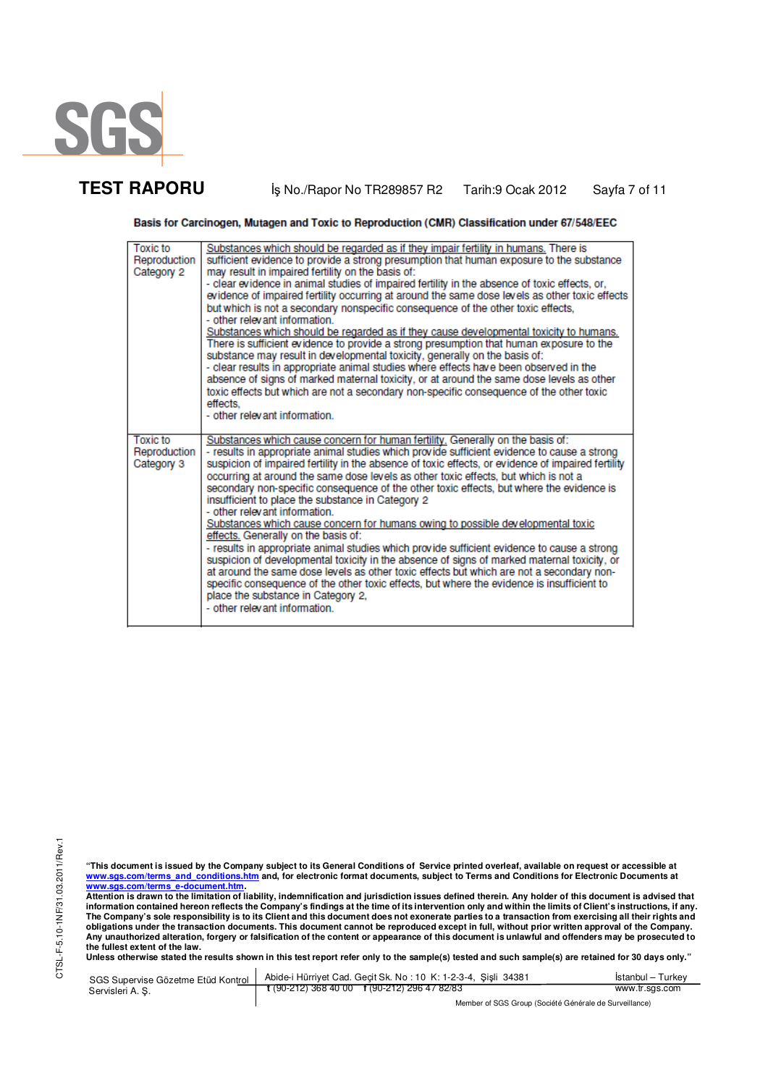

**TEST RAPORU** iş No./Rapor No TR289857 R2 Tarih:9 Ocak 2012 Sayfa 7 of 11

Basis for Carcinogen, Mutagen and Toxic to Reproduction (CMR) Classification under 67/548/EEC

| <b>Toxic to</b><br>Reproduction<br>Category 2 | Substances which should be regarded as if they impair fertility in humans. There is<br>sufficient evidence to provide a strong presumption that human exposure to the substance<br>may result in impaired fertility on the basis of:<br>- clear evidence in animal studies of impaired fertility in the absence of toxic effects, or,<br>evidence of impaired fertility occurring at around the same dose levels as other toxic effects<br>but which is not a secondary nonspecific consequence of the other toxic effects,<br>- other relevant information.<br>Substances which should be regarded as if they cause developmental toxicity to humans.<br>There is sufficient evidence to provide a strong presumption that human exposure to the<br>substance may result in developmental toxicity, generally on the basis of:<br>- clear results in appropriate animal studies where effects have been observed in the<br>absence of signs of marked maternal toxicity, or at around the same dose levels as other<br>toxic effects but which are not a secondary non-specific consequence of the other toxic<br>effects.<br>- other relevant information. |
|-----------------------------------------------|--------------------------------------------------------------------------------------------------------------------------------------------------------------------------------------------------------------------------------------------------------------------------------------------------------------------------------------------------------------------------------------------------------------------------------------------------------------------------------------------------------------------------------------------------------------------------------------------------------------------------------------------------------------------------------------------------------------------------------------------------------------------------------------------------------------------------------------------------------------------------------------------------------------------------------------------------------------------------------------------------------------------------------------------------------------------------------------------------------------------------------------------------------------|
| <b>Toxic to</b><br>Reproduction<br>Category 3 | Substances which cause concern for human fertility. Generally on the basis of:<br>- results in appropriate animal studies which provide sufficient evidence to cause a strong<br>suspicion of impaired fertility in the absence of toxic effects, or evidence of impaired fertility<br>occurring at around the same dose levels as other toxic effects, but which is not a<br>secondary non-specific consequence of the other toxic effects, but where the evidence is<br>insufficient to place the substance in Category 2<br>- other relevant information.<br>Substances which cause concern for humans owing to possible developmental toxic<br>effects. Generally on the basis of:<br>- results in appropriate animal studies which provide sufficient evidence to cause a strong<br>suspicion of developmental toxicity in the absence of signs of marked maternal toxicity, or<br>at around the same dose levels as other toxic effects but which are not a secondary non-<br>specific consequence of the other toxic effects, but where the evidence is insufficient to<br>place the substance in Category 2,<br>- other relevant information.        |

CTSL-F-5.10-1NF/31.03.2011/Rev.1 CTSL-F-5.10-1NF/31.03.2011/Rev.1

"This document is issued by the Company subject to its General Conditions of Service printed overleaf, available on request or accessible at<br>www.sgs.com/terms\_and\_conditions.htm\_and, for electronic format documents, subjec

<u>www.sgs.com/terms\_e-document.htm.</u><br>Attention is drawn to the limitation of liability, indemnification and jurisdiction issues defined therein. Any holder of this document is advised that<br>information contained hereon refle **obligations under the transaction documents. This document cannot be reproduced except in full, without prior written approval of the Company. Any unauthorized alteration, forgery or falsification of the content or appearance of this document is unlawful and offenders may be prosecuted to the fullest extent of the law.** 

**Unless otherwise stated the results shown in this test report refer only to the sample(s) tested and such sample(s) are retained for 30 days only."** 

| SGS Supervise Gözetme Etüd Kontrol | Abide-i Hürriyet Cad. Gecit Sk. No: 10 K: 1-2-3-4, Sisli 34381 | Istanbul – Turkev |
|------------------------------------|----------------------------------------------------------------|-------------------|
| Servisleri A. S.                   | $\frac{1}{2}$ (90-212) 368 40 00 f (90-212) 296 47 82/83       | www.tr.sgs.com    |
|                                    | Member of SGS Group (Société Générale de Surveillance)         |                   |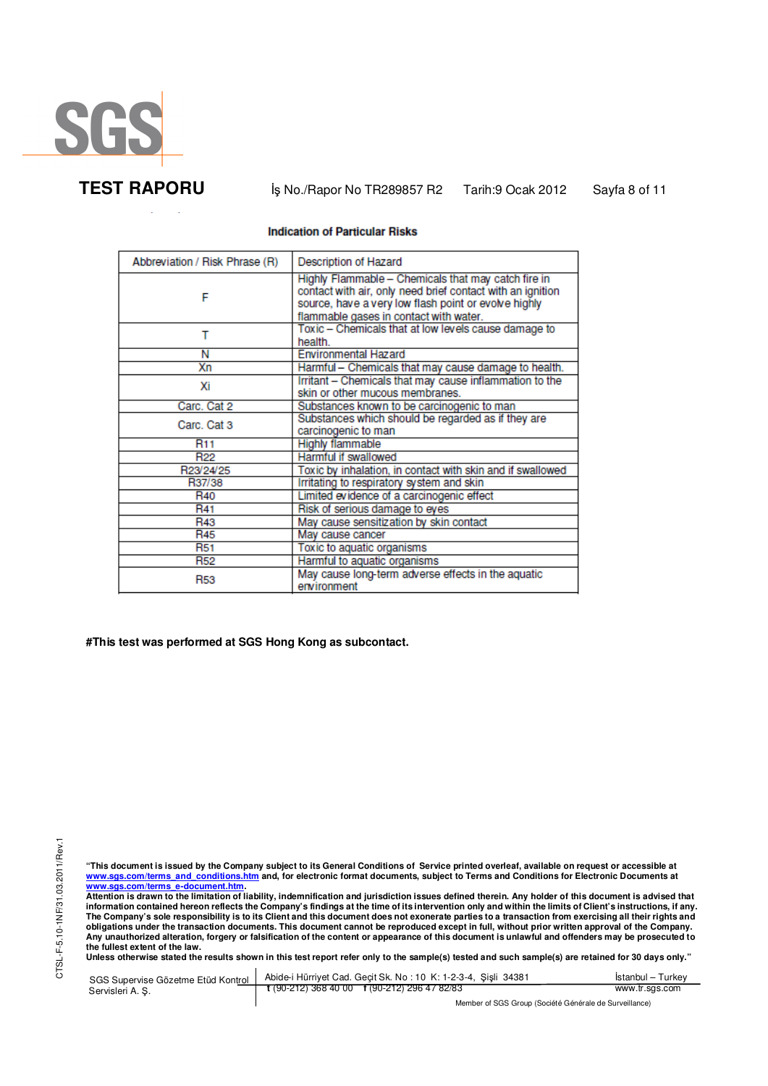

#### **Indication of Particular Risks**

| Abbreviation / Risk Phrase (R) | <b>Description of Hazard</b>                                                                                                                                                                                        |
|--------------------------------|---------------------------------------------------------------------------------------------------------------------------------------------------------------------------------------------------------------------|
| F                              | Highly Flammable - Chemicals that may catch fire in<br>contact with air, only need brief contact with an ignition<br>source, have a very low flash point or evolve highly<br>flammable gases in contact with water. |
| т                              | Toxic - Chemicals that at low levels cause damage to<br>health.                                                                                                                                                     |
| Ν                              | <b>Environmental Hazard</b>                                                                                                                                                                                         |
| Хn                             | Harmful - Chemicals that may cause damage to health.                                                                                                                                                                |
| Хi                             | Irritant - Chemicals that may cause inflammation to the<br>skin or other mucous membranes.                                                                                                                          |
| Carc. Cat 2                    | Substances known to be carcinogenic to man                                                                                                                                                                          |
| Carc, Cat 3                    | Substances which should be regarded as if they are<br>carcinogenic to man                                                                                                                                           |
| <b>R11</b>                     | <b>Highly flammable</b>                                                                                                                                                                                             |
| R <sub>22</sub>                | Harmful if swallowed                                                                                                                                                                                                |
| R23/24/25                      | Toxic by inhalation, in contact with skin and if swallowed                                                                                                                                                          |
| R37/38                         | Irritating to respiratory system and skin                                                                                                                                                                           |
| R <sub>40</sub>                | Limited evidence of a carcinogenic effect                                                                                                                                                                           |
| R41                            | Risk of serious damage to eyes                                                                                                                                                                                      |
| R43                            | May cause sensitization by skin contact                                                                                                                                                                             |
| <b>R45</b>                     | May cause cancer                                                                                                                                                                                                    |
| <b>R51</b>                     | Toxic to aquatic organisms                                                                                                                                                                                          |
| <b>R52</b>                     | Harmful to aquatic organisms                                                                                                                                                                                        |
| <b>R53</b>                     | May cause long-term adverse effects in the aquatic<br>environment                                                                                                                                                   |

**#This test was performed at SGS Hong Kong as subcontact.** 

"This document is issued by the Company subject to its General Conditions of Service printed overleaf, available on request or accessible at<br>www.sgs.com/terms\_and\_conditions.htm\_and, for electronic format documents, subjec

<u>www.sgs.com/terms\_e-document.htm.</u><br>Attention is drawn to the limitation of liability, indemnification and jurisdiction issues defined therein. Any holder of this document is advised that<br>information contained hereon refle obligations under the transaction documents. This document cannot be reproduced except in full, without prior written approval of the Company.<br>Any unauthorized alteration, forgery or falsification of the content or appeara

**Unless otherwise stated the results shown in this test report refer only to the sample(s) tested and such sample(s) are retained for 30 days only."** 

| SGS Supervise Gözetme Etüd Kontrol II<br>Servisleri A.S. | Abide-i Hürriyet Cad. Gecit Sk. No: 10 K: 1-2-3-4, Sisli 34381       | Istanbul – Turkev |
|----------------------------------------------------------|----------------------------------------------------------------------|-------------------|
|                                                          | $\frac{1}{2}$ (90-212) 368 40 00 $\frac{1}{2}$ (90-212) 296 47 82/83 | www.tr.sgs.com    |
|                                                          | Member of SGS Group (Société Générale de Surveillance)               |                   |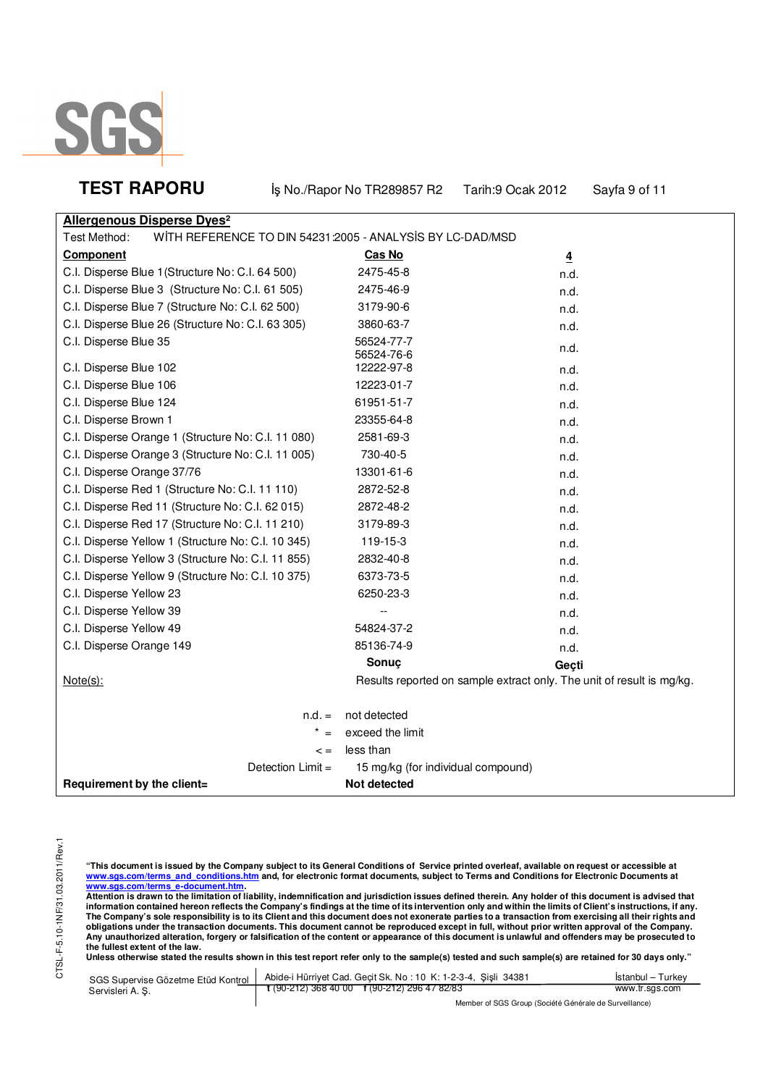

| <b>TEST RAPORU</b> |  |  |
|--------------------|--|--|
|--------------------|--|--|

**Iş No./Rapor No TR289857 R2 Tarih:9 Ocak 2012 Sayfa 9 of 11** 

| <b>Allergenous Disperse Dyes<sup>2</sup></b>                              |                                                                       |       |
|---------------------------------------------------------------------------|-----------------------------------------------------------------------|-------|
| Test Method:<br>WITH REFERENCE TO DIN 54231:2005 - ANALYSIS BY LC-DAD/MSD |                                                                       |       |
| <b>Component</b>                                                          | Cas No                                                                | 4     |
| C.I. Disperse Blue 1 (Structure No: C.I. 64 500)                          | 2475-45-8                                                             | n.d.  |
| C.I. Disperse Blue 3 (Structure No: C.I. 61 505)                          | 2475-46-9                                                             | n.d.  |
| C.I. Disperse Blue 7 (Structure No: C.I. 62 500)                          | 3179-90-6                                                             | n.d.  |
| C.I. Disperse Blue 26 (Structure No: C.I. 63 305)                         | 3860-63-7                                                             | n.d.  |
| C.I. Disperse Blue 35                                                     | 56524-77-7<br>56524-76-6                                              | n.d.  |
| C.I. Disperse Blue 102                                                    | 12222-97-8                                                            | n.d.  |
| C.I. Disperse Blue 106                                                    | 12223-01-7                                                            | n.d.  |
| C.I. Disperse Blue 124                                                    | 61951-51-7                                                            | n.d.  |
| C.I. Disperse Brown 1                                                     | 23355-64-8                                                            | n.d.  |
| C.I. Disperse Orange 1 (Structure No: C.I. 11 080)                        | 2581-69-3                                                             | n.d.  |
| C.I. Disperse Orange 3 (Structure No: C.I. 11 005)                        | 730-40-5                                                              | n.d.  |
| C.I. Disperse Orange 37/76                                                | 13301-61-6                                                            | n.d.  |
| C.I. Disperse Red 1 (Structure No: C.I. 11 110)                           | 2872-52-8                                                             | n.d.  |
| C.I. Disperse Red 11 (Structure No: C.I. 62 015)                          | 2872-48-2                                                             | n.d.  |
| C.I. Disperse Red 17 (Structure No: C.I. 11 210)                          | 3179-89-3                                                             | n.d.  |
| C.I. Disperse Yellow 1 (Structure No: C.I. 10 345)                        | 119-15-3                                                              | n.d.  |
| C.I. Disperse Yellow 3 (Structure No: C.I. 11 855)                        | 2832-40-8                                                             | n.d.  |
| C.I. Disperse Yellow 9 (Structure No: C.I. 10 375)                        | 6373-73-5                                                             | n.d.  |
| C.I. Disperse Yellow 23                                                   | 6250-23-3                                                             | n.d.  |
| C.I. Disperse Yellow 39                                                   |                                                                       | n.d.  |
| C.I. Disperse Yellow 49                                                   | 54824-37-2                                                            | n.d.  |
| C.I. Disperse Orange 149                                                  | 85136-74-9                                                            | n.d.  |
|                                                                           | Sonuç                                                                 | Geçti |
| Note(s):                                                                  | Results reported on sample extract only. The unit of result is mg/kg. |       |
|                                                                           |                                                                       |       |
| $n.d. =$                                                                  | not detected                                                          |       |
|                                                                           | exceed the limit                                                      |       |
| $\leq$ =                                                                  | less than                                                             |       |
| Detection $Limit =$                                                       | 15 mg/kg (for individual compound)                                    |       |
| Requirement by the client=                                                | Not detected                                                          |       |

"This document is issued by the Company subject to its General Conditions of Service printed overleaf, available on request or accessible at<br>www.sgs.com/terms\_and\_conditions.htm\_and, for electronic format documents, subjec

<u>www.sgs.com/terms\_e-document.htm.</u><br>Attention is drawn to the limitation of liability, indemnification and jurisdiction issues defined therein. Any holder of this document is advised that<br>information contained hereon refle obligations under the transaction documents. This document cannot be reproduced except in full, without prior written approval of the Company.<br>Any unauthorized alteration, forgery or falsification of the content or appeara

| SGS Supervise Gözetme Etüd Kontrol<br>Servisleri A. S. | Abide-i Hürriyet Cad. Gecit Sk. No: 10 K: 1-2-3-4, Sisli 34381 | Istanbul – Turkev |
|--------------------------------------------------------|----------------------------------------------------------------|-------------------|
|                                                        | t (90-212) 368 40 00 f (90-212) 296 47 82/83                   | www.tr.sgs.com    |
|                                                        | Member of SGS Group (Société Générale de Surveillance)         |                   |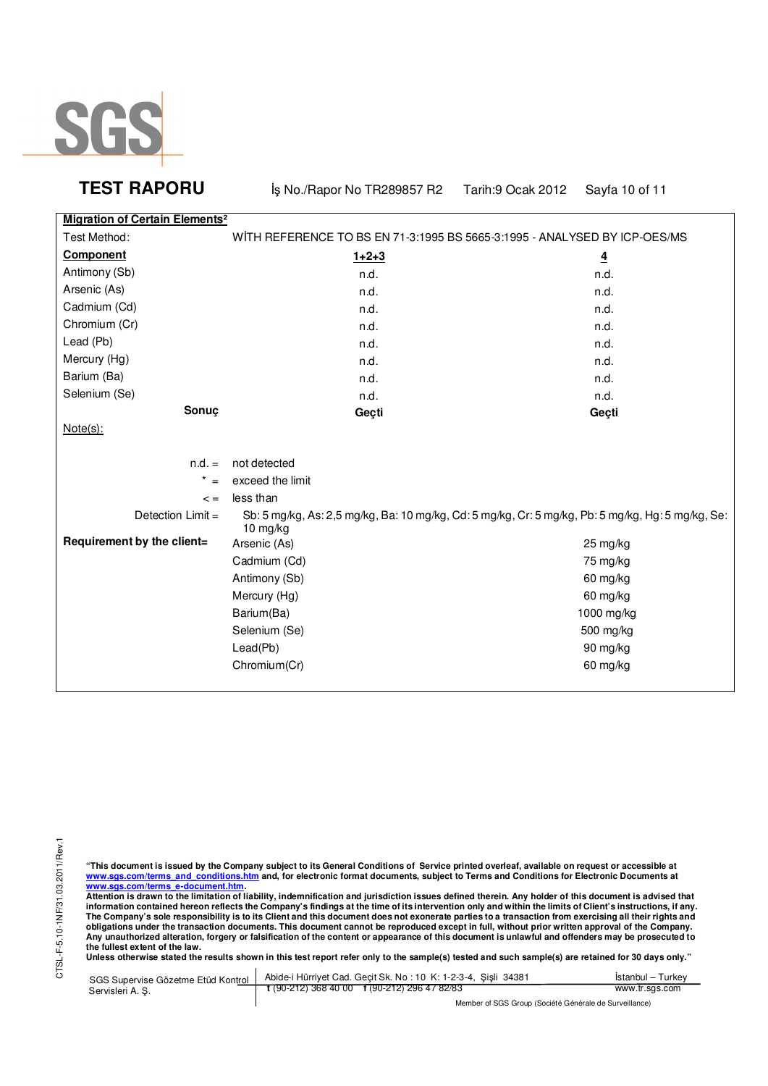

**TEST RAPORU BEAT AS A REPORT OF A TRAPORUPY SAYS AND REPORT OF A SAY A 10 of 11** 

|                                                  | $1$ and $0$ $0$ $0$ $0$ $0$ $0$ $1$ $-$                                                           |
|--------------------------------------------------|---------------------------------------------------------------------------------------------------|
| <b>Migration of Certain Elements<sup>2</sup></b> |                                                                                                   |
|                                                  | WITH REFERENCE TO BS EN 71-3:1995 BS 5665-3:1995 - ANALYSED BY ICP-OES/MS                         |
| $1+2+3$                                          | $\overline{\mathbf{4}}$                                                                           |
| n.d.                                             | n.d.                                                                                              |
| n.d.                                             | n.d.                                                                                              |
| n.d.                                             | n.d.                                                                                              |
| n.d.                                             | n.d.                                                                                              |
| n.d.                                             | n.d.                                                                                              |
| n.d.                                             | n.d.                                                                                              |
| n.d.                                             | n.d.                                                                                              |
| n.d.                                             | n.d.                                                                                              |
| Geçti                                            | Geçti                                                                                             |
|                                                  |                                                                                                   |
| not detected                                     |                                                                                                   |
| exceed the limit                                 |                                                                                                   |
| less than                                        |                                                                                                   |
|                                                  | Sb: 5 mg/kg, As: 2,5 mg/kg, Ba: 10 mg/kg, Cd: 5 mg/kg, Cr: 5 mg/kg, Pb: 5 mg/kg, Hg: 5 mg/kg, Se: |
| Arsenic (As)                                     | $25 \,\mathrm{mg/kg}$                                                                             |
| Cadmium (Cd)                                     | 75 mg/kg                                                                                          |
| Antimony (Sb)                                    | 60 mg/kg                                                                                          |
| Mercury (Hg)                                     | 60 mg/kg                                                                                          |
| Barium(Ba)                                       | 1000 mg/kg                                                                                        |
| Selenium (Se)                                    | 500 mg/kg                                                                                         |
| Lead(Pb)                                         | 90 mg/kg                                                                                          |
| Chromium(Cr)                                     | 60 mg/kg                                                                                          |
|                                                  | 10 mg/kg                                                                                          |

"This document is issued by the Company subject to its General Conditions of Service printed overleaf, available on request or accessible at<br>www.sgs.com/terms\_and\_conditions.htm\_and, for electronic format documents, subjec

<u>www.sgs.com/terms\_e-document.htm.</u><br>Attention is drawn to the limitation of liability, indemnification and jurisdiction issues defined therein. Any holder of this document is advised that<br>information contained hereon refle obligations under the transaction documents. This document cannot be reproduced except in full, without prior written approval of the Company.<br>Any unauthorized alteration, forgery or falsification of the content or appeara

**Unless otherwise stated the results shown in this test report refer only to the sample(s) tested and such sample(s) are retained for 30 days only."** 

| SGS Supervise Gözetme Etüd Kontrol  <br>Servisleri A. S. | Abide-i Hürriyet Cad. Gecit Sk. No: 10 K: 1-2-3-4, Sisli 34381 | Istanbul – Turkev |
|----------------------------------------------------------|----------------------------------------------------------------|-------------------|
|                                                          | $\frac{1}{2}$ (90-212) 368 40 00 f (90-212) 296 47 82/83       | www.tr.sgs.com    |
|                                                          | Member of SGS Group (Société Générale de Surveillance)         |                   |